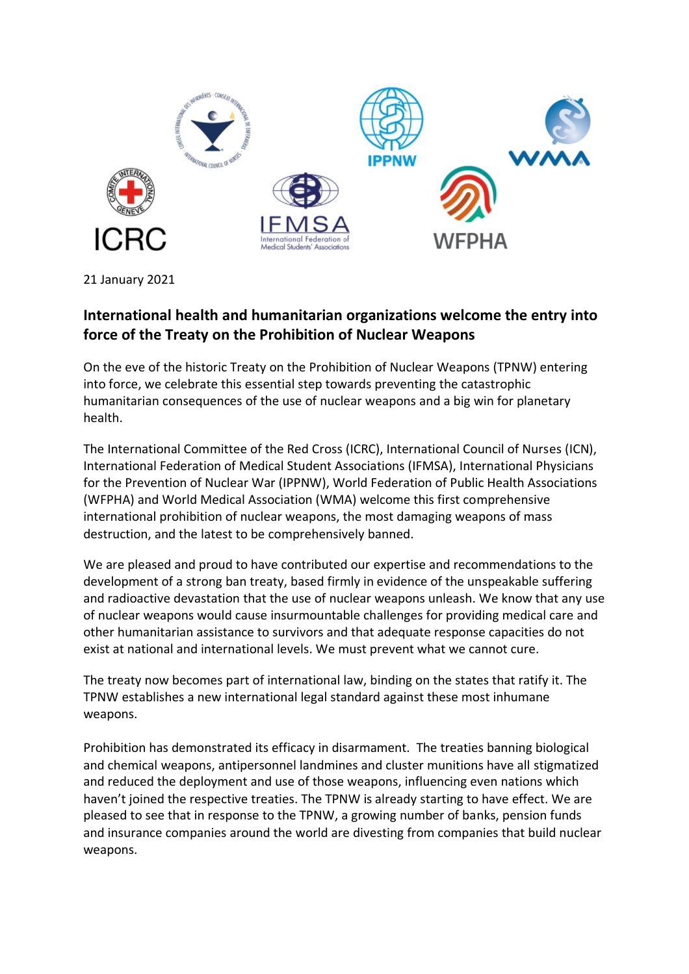

21 January 2021

## **International health and humanitarian organizations welcome the entry into force of the Treaty on the Prohibition of Nuclear Weapons**

On the eve of the historic Treaty on the Prohibition of Nuclear Weapons (TPNW) entering into force, we celebrate this essential step towards preventing the catastrophic humanitarian consequences of the use of nuclear weapons and a big win for planetary health.

The International Committee of the Red Cross (ICRC), International Council of Nurses (ICN), International Federation of Medical Student Associations (IFMSA), International Physicians for the Prevention of Nuclear War (IPPNW), World Federation of Public Health Associations (WFPHA) and World Medical Association (WMA) welcome this first comprehensive international prohibition of nuclear weapons, the most damaging weapons of mass destruction, and the latest to be comprehensively banned.

We are pleased and proud to have contributed our expertise and recommendations to the development of a strong ban treaty, based firmly in evidence of the unspeakable suffering and radioactive devastation that the use of nuclear weapons unleash. We know that any use of nuclear weapons would cause insurmountable challenges for providing medical care and other humanitarian assistance to survivors and that adequate response capacities do not exist at national and international levels. We must prevent what we cannot cure.

The treaty now becomes part of international law, binding on the states that ratify it. The TPNW establishes a new international legal standard against these most inhumane weapons.

Prohibition has demonstrated its efficacy in disarmament. The treaties banning biological and chemical weapons, antipersonnel landmines and cluster munitions have all stigmatized and reduced the deployment and use of those weapons, influencing even nations which haven't joined the respective treaties. The TPNW is already starting to have effect. We are pleased to see that in response to the TPNW, a growing number of banks, pension funds and insurance companies around the world are divesting from companies that build nuclear weapons.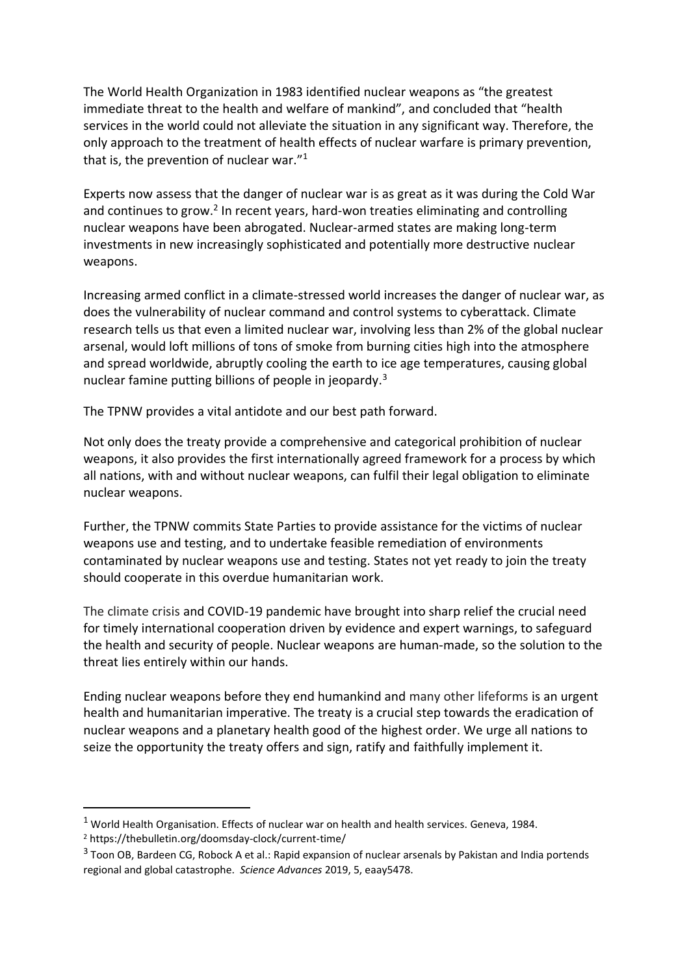The World Health Organization in 1983 identified nuclear weapons as "the greatest immediate threat to the health and welfare of mankind", and concluded that "health services in the world could not alleviate the situation in any significant way. Therefore, the only approach to the treatment of health effects of nuclear warfare is primary prevention, that is, the prevention of nuclear war. $1$ <sup>1</sup>

Experts now assess that the danger of nuclear war is as great as it was during the Cold War and continues to grow.<sup>2</sup> In recent years, hard-won treaties eliminating and controlling nuclear weapons have been abrogated. Nuclear-armed states are making long-term investments in new increasingly sophisticated and potentially more destructive nuclear weapons.

Increasing armed conflict in a climate-stressed world increases the danger of nuclear war, as does the vulnerability of nuclear command and control systems to cyberattack. Climate research tells us that even a limited nuclear war, involving less than 2% of the global nuclear arsenal, would loft millions of tons of smoke from burning cities high into the atmosphere and spread worldwide, abruptly cooling the earth to ice age temperatures, causing global nuclear famine putting billions of people in jeopardy.<sup>3</sup>

The TPNW provides a vital antidote and our best path forward.

Not only does the treaty provide a comprehensive and categorical prohibition of nuclear weapons, it also provides the first internationally agreed framework for a process by which all nations, with and without nuclear weapons, can fulfil their legal obligation to eliminate nuclear weapons.

Further, the TPNW commits State Parties to provide assistance for the victims of nuclear weapons use and testing, and to undertake feasible remediation of environments contaminated by nuclear weapons use and testing. States not yet ready to join the treaty should cooperate in this overdue humanitarian work.

The climate crisis and COVID-19 pandemic have brought into sharp relief the crucial need for timely international cooperation driven by evidence and expert warnings, to safeguard the health and security of people. Nuclear weapons are human-made, so the solution to the threat lies entirely within our hands.

Ending nuclear weapons before they end humankind and many other lifeforms is an urgent health and humanitarian imperative. The treaty is a crucial step towards the eradication of nuclear weapons and a planetary health good of the highest order. We urge all nations to seize the opportunity the treaty offers and sign, ratify and faithfully implement it.

<sup>1</sup> World Health Organisation. Effects of nuclear war on health and health services. Geneva, 1984.

<sup>2</sup> https://thebulletin.org/doomsday-clock/current-time/

 $3$  Toon OB, Bardeen CG, Robock A et al.: Rapid expansion of nuclear arsenals by Pakistan and India portends regional and global catastrophe. *Science Advances* 2019, 5, eaay5478.